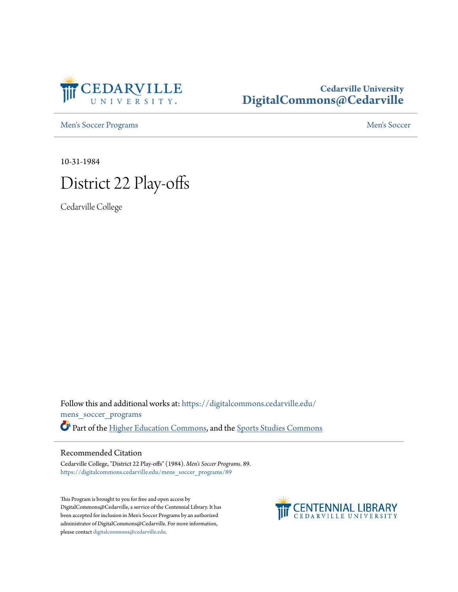

### **Cedarville University [DigitalCommons@Cedarville](https://digitalcommons.cedarville.edu?utm_source=digitalcommons.cedarville.edu%2Fmens_soccer_programs%2F89&utm_medium=PDF&utm_campaign=PDFCoverPages)**

[Men's Soccer Programs](https://digitalcommons.cedarville.edu/mens_soccer_programs?utm_source=digitalcommons.cedarville.edu%2Fmens_soccer_programs%2F89&utm_medium=PDF&utm_campaign=PDFCoverPages) [Men's Soccer](https://digitalcommons.cedarville.edu/mens_soccer?utm_source=digitalcommons.cedarville.edu%2Fmens_soccer_programs%2F89&utm_medium=PDF&utm_campaign=PDFCoverPages) Channels Soccer Men's Soccer

10-31-1984

## District 22 Play-offs

Cedarville College

Follow this and additional works at: [https://digitalcommons.cedarville.edu/](https://digitalcommons.cedarville.edu/mens_soccer_programs?utm_source=digitalcommons.cedarville.edu%2Fmens_soccer_programs%2F89&utm_medium=PDF&utm_campaign=PDFCoverPages) [mens\\_soccer\\_programs](https://digitalcommons.cedarville.edu/mens_soccer_programs?utm_source=digitalcommons.cedarville.edu%2Fmens_soccer_programs%2F89&utm_medium=PDF&utm_campaign=PDFCoverPages) Part of the [Higher Education Commons](http://network.bepress.com/hgg/discipline/1245?utm_source=digitalcommons.cedarville.edu%2Fmens_soccer_programs%2F89&utm_medium=PDF&utm_campaign=PDFCoverPages), and the [Sports Studies Commons](http://network.bepress.com/hgg/discipline/1198?utm_source=digitalcommons.cedarville.edu%2Fmens_soccer_programs%2F89&utm_medium=PDF&utm_campaign=PDFCoverPages)

### Recommended Citation

Cedarville College, "District 22 Play-offs" (1984). *Men's Soccer Programs*. 89. [https://digitalcommons.cedarville.edu/mens\\_soccer\\_programs/89](https://digitalcommons.cedarville.edu/mens_soccer_programs/89?utm_source=digitalcommons.cedarville.edu%2Fmens_soccer_programs%2F89&utm_medium=PDF&utm_campaign=PDFCoverPages)

This Program is brought to you for free and open access by DigitalCommons@Cedarville, a service of the Centennial Library. It has been accepted for inclusion in Men's Soccer Programs by an authorized administrator of DigitalCommons@Cedarville. For more information, please contact [digitalcommons@cedarville.edu.](mailto:digitalcommons@cedarville.edu)

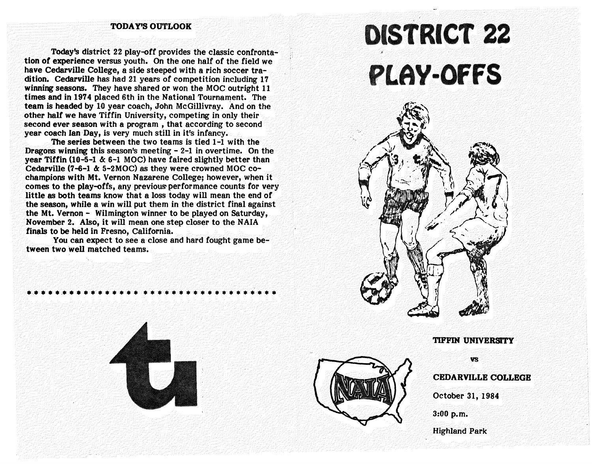### TODA Y'S OUTLOOK

Today's district 22 play-off provides the classic confrontation of experience versus youth. On the one half of the field we have Cedarville College, a side steeped with a rich soccer tradition. Cedarville has had 21 years of competition including 17 winning seasons. They have shared or won the MOC outright 11 times and in 1974 placed 6th in the National Tournament. The team is headed by 10 year coach, John McGillivray. And on the other half we have Tiffin University, competing in only their second ever season with a program , that according to second year coach Ian Day, is very much still in it's infancy.

The series between the two teams is tied 1-1 with the Dragons winning this season's meeting  $-2-1$  in overtime. On the year Tiffin (10-5-1  $\&$  6-1 MOC) have faired slightly better than Cedarville (7-6-1 &. 5-2MOC) as they were crowned MOC cochampions with Mt. Vernon Nazarene College; however, when it comes to the play-offs, any previous performance counts for very little as both teams know that a loss today will mean the end of the season, while a win will put them in the district final against the Mt. Vernon - Wilmington winner to be played on Saturday, November 2. Also, it will mean one step closer to the NAIA finals to be held in Fresno, California.

You can expect to see a close and hard fought game between two well matched teams.





# **DISTRICT 22 PLAY-OFFS**



### TIPPIN UNIVERSITY

vs

### CEDARVILLE COLLEGE

October 31, 1984

3:00 p.m.

Highland Park